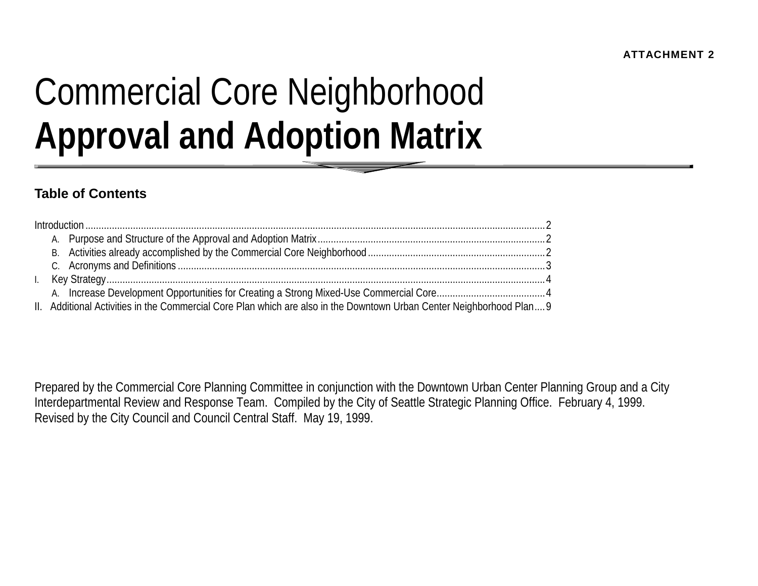# Commercial Core Neighborhood **Approval and Adoption Matrix**

## **Table of Contents**

| $\mathbf{L}$ |                                                                                                                       |  |
|--------------|-----------------------------------------------------------------------------------------------------------------------|--|
|              |                                                                                                                       |  |
|              | II. Additional Activities in the Commercial Core Plan which are also in the Downtown Urban Center Neighborhood Plan 9 |  |

Prepared by the Commercial Core Planning Committee in conjunction with the Downtown Urban Center Planning Group and a City Interdepartmental Review and Response Team. Compiled by the City of Seattle Strategic Planning Office. February 4, 1999. Revised by the City Council and Council Central Staff. May 19, 1999.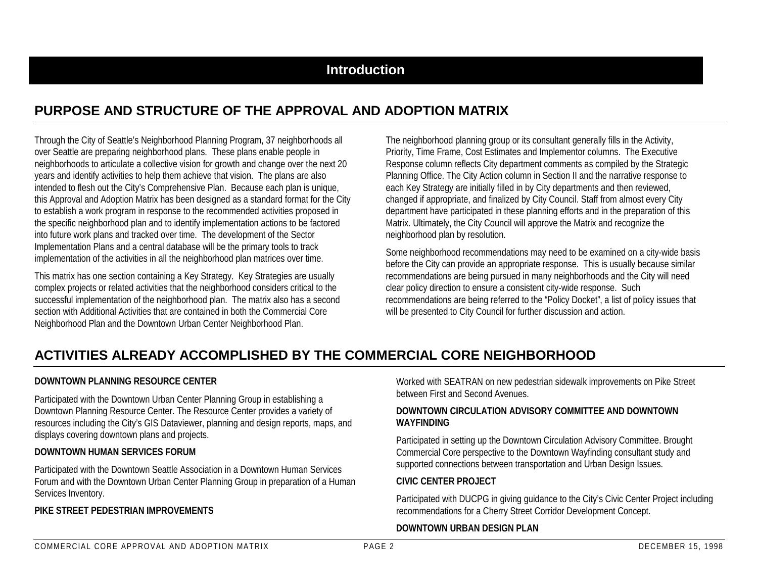### **Introduction**

## **PURPOSE AND STRUCTURE OF THE APPROVAL AND ADOPTION MATRIX**

Through the City of Seattle's Neighborhood Planning Program, 37 neighborhoods all over Seattle are preparing neighborhood plans. These plans enable people in neighborhoods to articulate a collective vision for growth and change over the next 20 years and identify activities to help them achieve that vision. The plans are also intended to flesh out the City's Comprehensive Plan. Because each plan is unique, this Approval and Adoption Matrix has been designed as a standard format for the City to establish a work program in response to the recommended activities proposed in the specific neighborhood plan and to identify implementation actions to be factored into future work plans and tracked over time. The development of the Sector Implementation Plans and a central database will be the primary tools to track implementation of the activities in all the neighborhood plan matrices over time.

This matrix has one section containing a Key Strategy. Key Strategies are usually complex projects or related activities that the neighborhood considers critical to the successful implementation of the neighborhood plan. The matrix also has a second section with Additional Activities that are contained in both the Commercial CoreNeighborhood Plan and the Downtown Urban Center Neighborhood Plan.

The neighborhood planning group or its consultant generally fills in the Activity, Priority, Time Frame, Cost Estimates and Implementor columns. The Executive Response column reflects City department comments as compiled by the Strategic Planning Office. The City Action column in Section II and the narrative response to each Key Strategy are initially filled in by City departments and then reviewed, changed if appropriate, and finalized by City Council. Staff from almost every City department have participated in these planning efforts and in the preparation of this Matrix. Ultimately, the City Council will approve the Matrix and recognize the neighborhood plan by resolution.

Some neighborhood recommendations may need to be examined on a city-wide basis before the City can provide an appropriate response. This is usually because similar recommendations are being pursued in many neighborhoods and the City will need clear policy direction to ensure a consistent city-wide response. Such recommendations are being referred to the "Policy Docket", a list of policy issues that will be presented to City Council for further discussion and action.

## **ACTIVITIES ALREADY ACCOMPLISHED BY THE COMMERCIAL CORE NEIGHBORHOOD**

#### **DOWNTOWN PLANNING RESOURCE CENTER**

Participated with the Downtown Urban Center Planning Group in establishing a Downtown Planning Resource Center. The Resource Center provides a variety of resources including the City's GIS Dataviewer, planning and design reports, maps, and displays covering downtown plans and projects.

#### **DOWNTOWN HUMAN SERVICES FORUM**

Participated with the Downtown Seattle Association in a Downtown Human Services Forum and with the Downtown Urban Center Planning Group in preparation of a Human Services Inventory.

#### **PIKE STREET PEDESTRIAN IMPROVEMENTS**

Worked with SEATRAN on new pedestrian sidewalk improvements on Pike Street between First and Second Avenues.

#### **DOWNTOWN CIRCULATION ADVISORY COMMITTEE AND DOWNTOWNWAYFINDING**

Participated in setting up the Downtown Circulation Advisory Committee. Brought Commercial Core perspective to the Downtown Wayfinding consultant study and supported connections between transportation and Urban Design Issues.

#### **CIVIC CENTER PROJECT**

Participated with DUCPG in giving guidance to the City's Civic Center Project including recommendations for a Cherry Street Corridor Development Concept.

#### **DOWNTOWN URBAN DESIGN PLAN**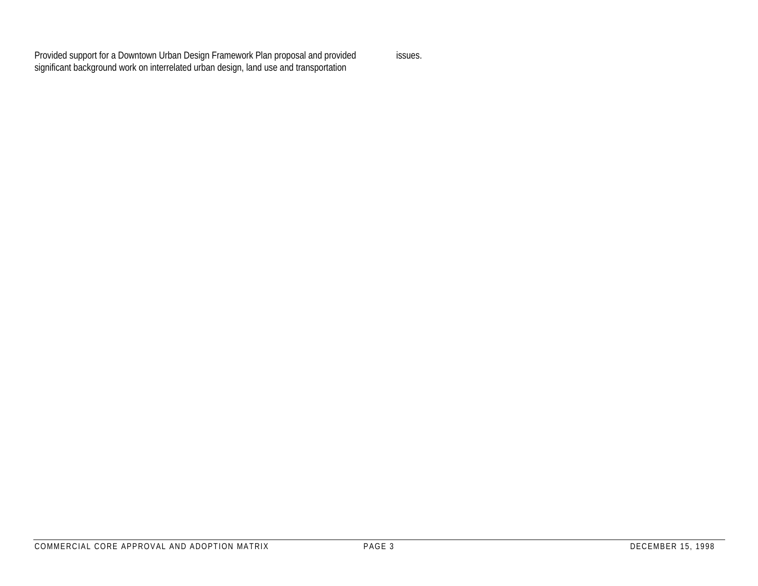Provided support for a Downtown Urban Design Framework Plan proposal and provided significant background work on interrelated urban design, land use and transportation

issues.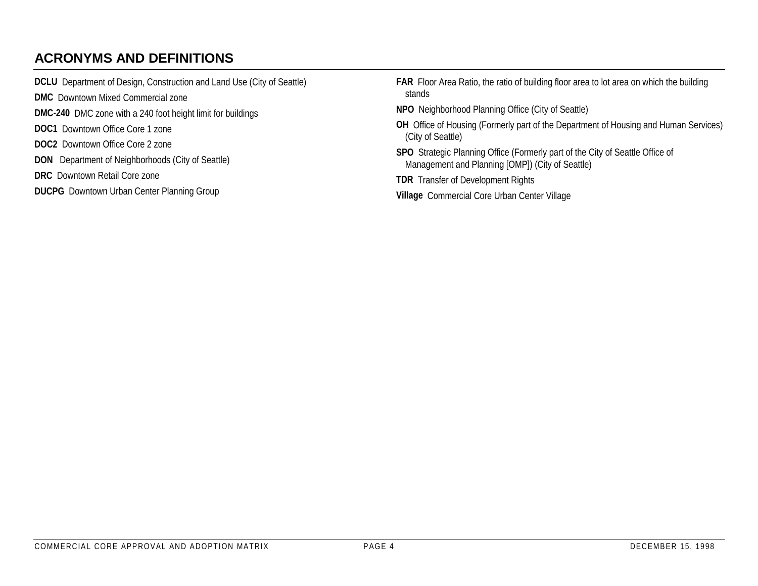# **ACRONYMS AND DEFINITIONS**

| <b>DCLU</b> Department of Design, Construction and Land Use (City of Seattle) | FAR Floor Area Ratio, the ratio of building floor area to lot area on which the building                                          |
|-------------------------------------------------------------------------------|-----------------------------------------------------------------------------------------------------------------------------------|
| <b>DMC</b> Downtown Mixed Commercial zone                                     | stands                                                                                                                            |
| <b>DMC-240</b> DMC zone with a 240 foot height limit for buildings            | NPO Neighborhood Planning Office (City of Seattle)                                                                                |
| <b>DOC1</b> Downtown Office Core 1 zone                                       | OH Office of Housing (Formerly part of the Department of Housing and Human Services)<br>(City of Seattle)                         |
| <b>DOC2</b> Downtown Office Core 2 zone                                       |                                                                                                                                   |
| <b>DON</b> Department of Neighborhoods (City of Seattle)                      | SPO Strategic Planning Office (Formerly part of the City of Seattle Office of<br>Management and Planning [OMP]) (City of Seattle) |
| <b>DRC</b> Downtown Retail Core zone                                          | <b>TDR</b> Transfer of Development Rights                                                                                         |
| <b>DUCPG</b> Downtown Urban Center Planning Group                             | Village Commercial Core Urban Center Village                                                                                      |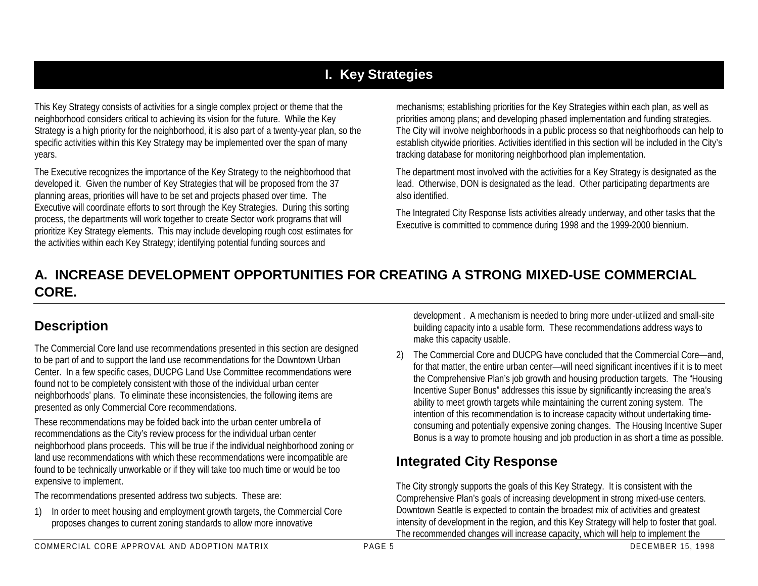# **I. Key Strategies**

This Key Strategy consists of activities for a single complex project or theme that the neighborhood considers critical to achieving its vision for the future. While the Key Strategy is a high priority for the neighborhood, it is also part of a twenty-year plan, so the specific activities within this Key Strategy may be implemented over the span of many years.

The Executive recognizes the importance of the Key Strategy to the neighborhood that developed it. Given the number of Key Strategies that will be proposed from the 37 planning areas, priorities will have to be set and projects phased over time. The Executive will coordinate efforts to sort through the Key Strategies. During this sorting process, the departments will work together to create Sector work programs that will prioritize Key Strategy elements. This may include developing rough cost estimates for the activities within each Key Strategy; identifying potential funding sources and

mechanisms; establishing priorities for the Key Strategies within each plan, as well as priorities among plans; and developing phased implementation and funding strategies. The City will involve neighborhoods in a public process so that neighborhoods can help to establish citywide priorities. Activities identified in this section will be included in the City's tracking database for monitoring neighborhood plan implementation.

The department most involved with the activities for a Key Strategy is designated as the lead. Otherwise, DON is designated as the lead. Other participating departments are also identified.

The Integrated City Response lists activities already underway, and other tasks that the Executive is committed to commence during 1998 and the 1999-2000 biennium.

## **A. INCREASE DEVELOPMENT OPPORTUNITIES FOR CREATING A STRONG MIXED-USE COMMERCIALCORE.**

## **Description**

The Commercial Core land use recommendations presented in this section are designed to be part of and to support the land use recommendations for the Downtown Urban Center. In a few specific cases, DUCPG Land Use Committee recommendations were found not to be completely consistent with those of the individual urban center neighborhoods' plans. To eliminate these inconsistencies, the following items are presented as only Commercial Core recommendations.

These recommendations may be folded back into the urban center umbrella of recommendations as the City's review process for the individual urban center neighborhood plans proceeds. This will be true if the individual neighborhood zoning or land use recommendations with which these recommendations were incompatible are found to be technically unworkable or if they will take too much time or would be too expensive to implement.

The recommendations presented address two subjects. These are:

1) In order to meet housing and employment growth targets, the Commercial Core proposes changes to current zoning standards to allow more innovative

development . A mechanism is needed to bring more under-utilized and small-site building capacity into a usable form. These recommendations address ways to make this capacity usable.

2) The Commercial Core and DUCPG have concluded that the Commercial Core—and, for that matter, the entire urban center—will need significant incentives if it is to meet the Comprehensive Plan's job growth and housing production targets. The "Housing Incentive Super Bonus" addresses this issue by significantly increasing the area's ability to meet growth targets while maintaining the current zoning system. The intention of this recommendation is to increase capacity without undertaking timeconsuming and potentially expensive zoning changes. The Housing Incentive Super Bonus is a way to promote housing and job production in as short a time as possible.

# **Integrated City Response**

The City strongly supports the goals of this Key Strategy. It is consistent with the Comprehensive Plan's goals of increasing development in strong mixed-use centers. Downtown Seattle is expected to contain the broadest mix of activities and greatest intensity of development in the region, and this Key Strategy will help to foster that goal. The recommended changes will increase capacity, which will help to implement the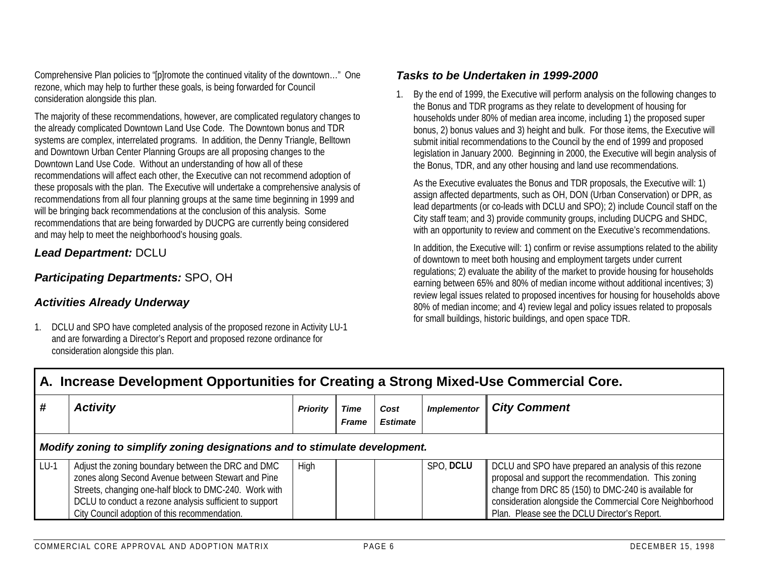Comprehensive Plan policies to "[p]romote the continued vitality of the downtown…" One rezone, which may help to further these goals, is being forwarded for Council consideration alongside this plan.

The majority of these recommendations, however, are complicated regulatory changes to the already complicated Downtown Land Use Code. The Downtown bonus and TDR systems are complex, interrelated programs. In addition, the Denny Triangle, Belltown and Downtown Urban Center Planning Groups are all proposing changes to the Downtown Land Use Code. Without an understanding of how all of these recommendations will affect each other, the Executive can not recommend adoption of these proposals with the plan. The Executive will undertake a comprehensive analysis of recommendations from all four planning groups at the same time beginning in 1999 and will be bringing back recommendations at the conclusion of this analysis. Some recommendations that are being forwarded by DUCPG are currently being considered and may help to meet the neighborhood's housing goals.

#### *Lead Department:* DCLU

#### *Participating Departments:* SPO, OH

#### *Activities Already Underway*

1. DCLU and SPO have completed analysis of the proposed rezone in Activity LU-1 and are forwarding a Director's Report and proposed rezone ordinance for consideration alongside this plan.

#### *Tasks to be Undertaken in 1999-2000*

1. By the end of 1999, the Executive will perform analysis on the following changes to the Bonus and TDR programs as they relate to development of housing for households under 80% of median area income, including 1) the proposed super bonus, 2) bonus values and 3) height and bulk. For those items, the Executive will submit initial recommendations to the Council by the end of 1999 and proposed legislation in January 2000. Beginning in 2000, the Executive will begin analysis of the Bonus, TDR, and any other housing and land use recommendations.

As the Executive evaluates the Bonus and TDR proposals, the Executive will: 1) assign affected departments, such as OH, DON (Urban Conservation) or DPR, as lead departments (or co-leads with DCLU and SPO); 2) include Council staff on the City staff team; and 3) provide community groups, including DUCPG and SHDC, with an opportunity to review and comment on the Executive's recommendations.

In addition, the Executive will: 1) confirm or revise assumptions related to the ability of downtown to meet both housing and employment targets under current regulations; 2) evaluate the ability of the market to provide housing for households earning between 65% and 80% of median income without additional incentives; 3) review legal issues related to proposed incentives for housing for households above 80% of median income; and 4) review legal and policy issues related to proposals for small buildings, historic buildings, and open space TDR.

|        | A. Increase Development Opportunities for Creating a Strong Mixed-Use Commercial Core.                                                                                                                                                                                         |          |                      |                         |                    |                                                                                                                                                                                                                                                                                   |  |  |  |  |  |
|--------|--------------------------------------------------------------------------------------------------------------------------------------------------------------------------------------------------------------------------------------------------------------------------------|----------|----------------------|-------------------------|--------------------|-----------------------------------------------------------------------------------------------------------------------------------------------------------------------------------------------------------------------------------------------------------------------------------|--|--|--|--|--|
|        | <b>Activity</b>                                                                                                                                                                                                                                                                | Priority | Time<br><b>Frame</b> | Cost<br><b>Estimate</b> | <b>Implementor</b> | <b>City Comment</b>                                                                                                                                                                                                                                                               |  |  |  |  |  |
|        | Modify zoning to simplify zoning designations and to stimulate development.                                                                                                                                                                                                    |          |                      |                         |                    |                                                                                                                                                                                                                                                                                   |  |  |  |  |  |
| $LU-1$ | Adjust the zoning boundary between the DRC and DMC<br>zones along Second Avenue between Stewart and Pine<br>Streets, changing one-half block to DMC-240. Work with<br>DCLU to conduct a rezone analysis sufficient to support<br>City Council adoption of this recommendation. | High     |                      |                         | SPO, DCLU          | DCLU and SPO have prepared an analysis of this rezone<br>proposal and support the recommendation. This zoning<br>change from DRC 85 (150) to DMC-240 is available for<br>consideration alongside the Commercial Core Neighborhood<br>Plan. Please see the DCLU Director's Report. |  |  |  |  |  |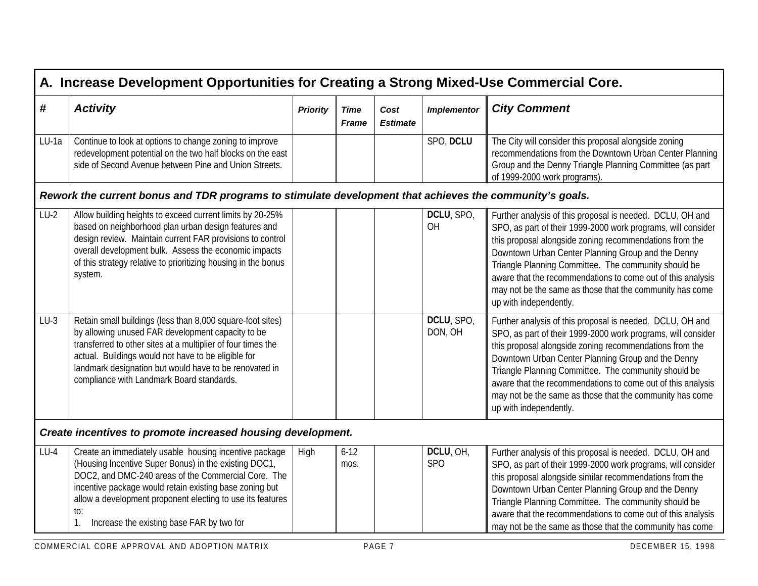|        | A. Increase Development Opportunities for Creating a Strong Mixed-Use Commercial Core.                                                                                                                                                                                                                                                              |                 |                             |                         |                         |                                                                                                                                                                                                                                                                                                                                                                                                                                                         |  |  |  |  |
|--------|-----------------------------------------------------------------------------------------------------------------------------------------------------------------------------------------------------------------------------------------------------------------------------------------------------------------------------------------------------|-----------------|-----------------------------|-------------------------|-------------------------|---------------------------------------------------------------------------------------------------------------------------------------------------------------------------------------------------------------------------------------------------------------------------------------------------------------------------------------------------------------------------------------------------------------------------------------------------------|--|--|--|--|
| #      | <b>Activity</b>                                                                                                                                                                                                                                                                                                                                     | <b>Priority</b> | <b>Time</b><br><b>Frame</b> | Cost<br><b>Estimate</b> | <b>Implementor</b>      | <b>City Comment</b>                                                                                                                                                                                                                                                                                                                                                                                                                                     |  |  |  |  |
| LU-1a  | Continue to look at options to change zoning to improve<br>redevelopment potential on the two half blocks on the east<br>side of Second Avenue between Pine and Union Streets.                                                                                                                                                                      |                 |                             |                         | SPO, DCLU               | The City will consider this proposal alongside zoning<br>recommendations from the Downtown Urban Center Planning<br>Group and the Denny Triangle Planning Committee (as part<br>of 1999-2000 work programs).                                                                                                                                                                                                                                            |  |  |  |  |
|        | Rework the current bonus and TDR programs to stimulate development that achieves the community's goals.                                                                                                                                                                                                                                             |                 |                             |                         |                         |                                                                                                                                                                                                                                                                                                                                                                                                                                                         |  |  |  |  |
| $LU-2$ | Allow building heights to exceed current limits by 20-25%<br>based on neighborhood plan urban design features and<br>design review. Maintain current FAR provisions to control<br>overall development bulk. Assess the economic impacts<br>of this strategy relative to prioritizing housing in the bonus<br>system.                                |                 |                             |                         | DCLU, SPO,<br>OH        | Further analysis of this proposal is needed. DCLU, OH and<br>SPO, as part of their 1999-2000 work programs, will consider<br>this proposal alongside zoning recommendations from the<br>Downtown Urban Center Planning Group and the Denny<br>Triangle Planning Committee. The community should be<br>aware that the recommendations to come out of this analysis<br>may not be the same as those that the community has come<br>up with independently. |  |  |  |  |
| $LU-3$ | Retain small buildings (less than 8,000 square-foot sites)<br>by allowing unused FAR development capacity to be<br>transferred to other sites at a multiplier of four times the<br>actual. Buildings would not have to be eligible for<br>landmark designation but would have to be renovated in<br>compliance with Landmark Board standards.       |                 |                             |                         | DCLU, SPO,<br>DON, OH   | Further analysis of this proposal is needed. DCLU, OH and<br>SPO, as part of their 1999-2000 work programs, will consider<br>this proposal alongside zoning recommendations from the<br>Downtown Urban Center Planning Group and the Denny<br>Triangle Planning Committee. The community should be<br>aware that the recommendations to come out of this analysis<br>may not be the same as those that the community has come<br>up with independently. |  |  |  |  |
|        | Create incentives to promote increased housing development.                                                                                                                                                                                                                                                                                         |                 |                             |                         |                         |                                                                                                                                                                                                                                                                                                                                                                                                                                                         |  |  |  |  |
| $LU-4$ | Create an immediately usable housing incentive package<br>(Housing Incentive Super Bonus) in the existing DOC1,<br>DOC2, and DMC-240 areas of the Commercial Core. The<br>incentive package would retain existing base zoning but<br>allow a development proponent electing to use its features<br>to:<br>Increase the existing base FAR by two for | High            | $6 - 12$<br>mos.            |                         | DCLU, OH,<br><b>SPO</b> | Further analysis of this proposal is needed. DCLU, OH and<br>SPO, as part of their 1999-2000 work programs, will consider<br>this proposal alongside similar recommendations from the<br>Downtown Urban Center Planning Group and the Denny<br>Triangle Planning Committee. The community should be<br>aware that the recommendations to come out of this analysis<br>may not be the same as those that the community has come                          |  |  |  |  |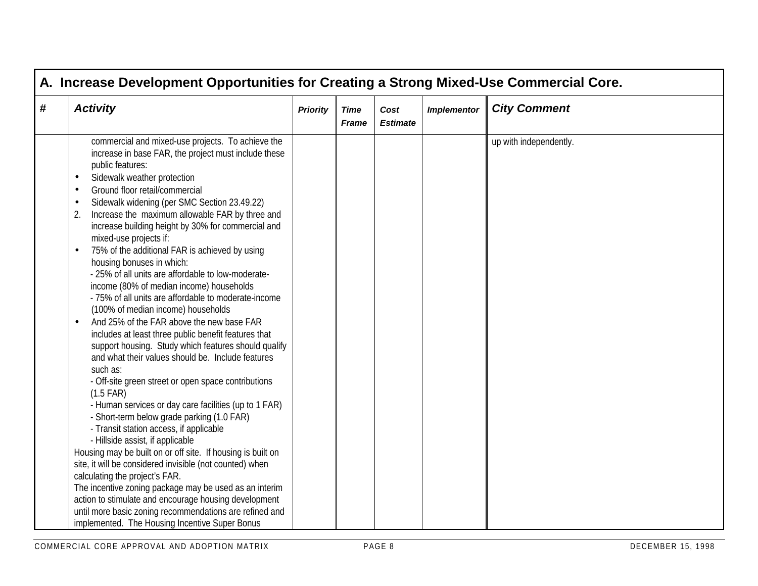| <b>Activity</b>                                                                                                                                                                                                                                                                                                                                                                                                                                                                                                                                                                                                                                                                                                                                                                                                                                                                                                                                                                                                                                                                                                                                                                                                                                                                                                                                                                                                                                                                                                   | <b>Priority</b> | <b>Time</b><br><b>Frame</b> | Cost<br><b>Estimate</b> | <b>Implementor</b> | <b>City Comment</b>    |
|-------------------------------------------------------------------------------------------------------------------------------------------------------------------------------------------------------------------------------------------------------------------------------------------------------------------------------------------------------------------------------------------------------------------------------------------------------------------------------------------------------------------------------------------------------------------------------------------------------------------------------------------------------------------------------------------------------------------------------------------------------------------------------------------------------------------------------------------------------------------------------------------------------------------------------------------------------------------------------------------------------------------------------------------------------------------------------------------------------------------------------------------------------------------------------------------------------------------------------------------------------------------------------------------------------------------------------------------------------------------------------------------------------------------------------------------------------------------------------------------------------------------|-----------------|-----------------------------|-------------------------|--------------------|------------------------|
| commercial and mixed-use projects. To achieve the<br>increase in base FAR, the project must include these<br>public features:<br>Sidewalk weather protection<br>$\bullet$<br>Ground floor retail/commercial<br>$\bullet$<br>Sidewalk widening (per SMC Section 23.49.22)<br>$\bullet$<br>Increase the maximum allowable FAR by three and<br>2.<br>increase building height by 30% for commercial and<br>mixed-use projects if:<br>75% of the additional FAR is achieved by using<br>$\bullet$<br>housing bonuses in which:<br>- 25% of all units are affordable to low-moderate-<br>income (80% of median income) households<br>- 75% of all units are affordable to moderate-income<br>(100% of median income) households<br>And 25% of the FAR above the new base FAR<br>$\bullet$<br>includes at least three public benefit features that<br>support housing. Study which features should qualify<br>and what their values should be. Include features<br>such as:<br>- Off-site green street or open space contributions<br>$(1.5$ FAR)<br>- Human services or day care facilities (up to 1 FAR)<br>- Short-term below grade parking (1.0 FAR)<br>- Transit station access, if applicable<br>- Hillside assist, if applicable<br>Housing may be built on or off site. If housing is built on<br>site, it will be considered invisible (not counted) when<br>calculating the project's FAR.<br>The incentive zoning package may be used as an interim<br>action to stimulate and encourage housing development |                 |                             |                         |                    | up with independently. |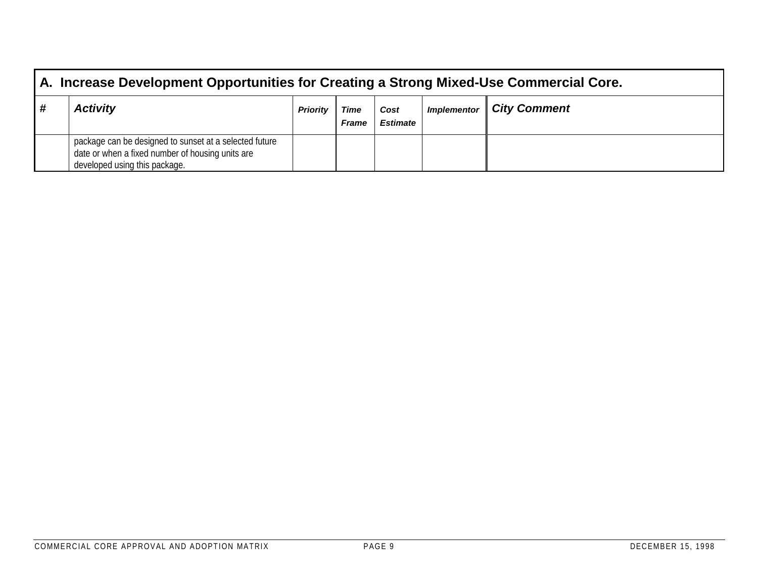| A. Increase Development Opportunities for Creating a Strong Mixed-Use Commercial Core.                                                      |                 |                      |                         |                    |                     |  |  |  |  |  |
|---------------------------------------------------------------------------------------------------------------------------------------------|-----------------|----------------------|-------------------------|--------------------|---------------------|--|--|--|--|--|
| <b>Activity</b>                                                                                                                             | <b>Priority</b> | Time<br><b>Frame</b> | Cost<br><b>Estimate</b> | <b>Implementor</b> | <b>City Comment</b> |  |  |  |  |  |
| package can be designed to sunset at a selected future<br>date or when a fixed number of housing units are<br>developed using this package. |                 |                      |                         |                    |                     |  |  |  |  |  |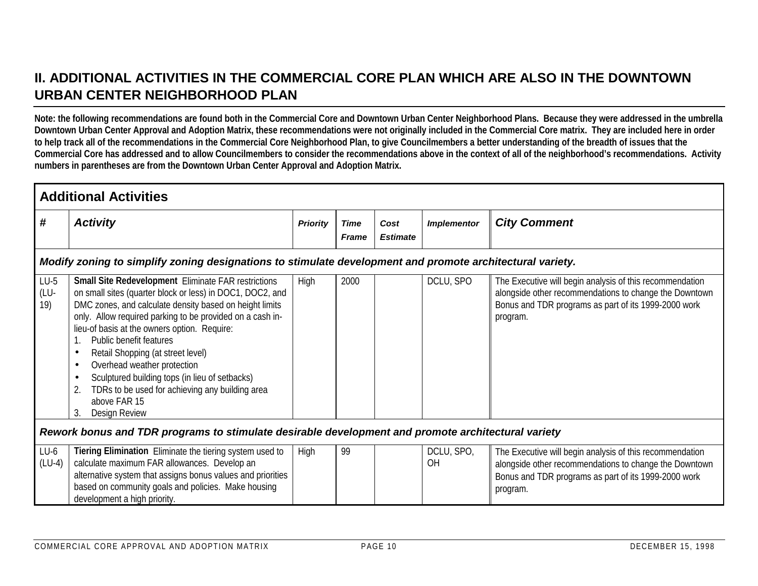## **II. ADDITIONAL ACTIVITIES IN THE COMMERCIAL CORE PLAN WHICH ARE ALSO IN THE DOWNTOWNURBAN CENTER NEIGHBORHOOD PLAN**

**Note: the following recommendations are found both in the Commercial Core and Downtown Urban Center Neighborhood Plans. Because they were addressed in the umbrella Downtown Urban Center Approval and Adoption Matrix, these recommendations were not originally included in the Commercial Core matrix. They are included here in order to help track all of the recommendations in the Commercial Core Neighborhood Plan, to give Councilmembers a better understanding of the breadth of issues that the Commercial Core has addressed and to allow Councilmembers to consider the recommendations above in the context of all of the neighborhood's recommendations. Activity numbers in parentheses are from the Downtown Urban Center Approval and Adoption Matrix.**

|                       | <b>Additional Activities</b>                                                                                                                                                                                                                                                                                                                                                                                                                                                                                                                                                                               |                 |                             |                         |                         |                                                                                                                                                                                        |  |  |  |  |  |  |
|-----------------------|------------------------------------------------------------------------------------------------------------------------------------------------------------------------------------------------------------------------------------------------------------------------------------------------------------------------------------------------------------------------------------------------------------------------------------------------------------------------------------------------------------------------------------------------------------------------------------------------------------|-----------------|-----------------------------|-------------------------|-------------------------|----------------------------------------------------------------------------------------------------------------------------------------------------------------------------------------|--|--|--|--|--|--|
| #                     | <b>Activity</b>                                                                                                                                                                                                                                                                                                                                                                                                                                                                                                                                                                                            | <b>Priority</b> | <b>Time</b><br><b>Frame</b> | Cost<br><b>Estimate</b> | <b>Implementor</b>      | <b>City Comment</b>                                                                                                                                                                    |  |  |  |  |  |  |
|                       | Modify zoning to simplify zoning designations to stimulate development and promote architectural variety.                                                                                                                                                                                                                                                                                                                                                                                                                                                                                                  |                 |                             |                         |                         |                                                                                                                                                                                        |  |  |  |  |  |  |
| $LU-5$<br>(LU-<br>19) | <b>Small Site Redevelopment Eliminate FAR restrictions</b><br>on small sites (quarter block or less) in DOC1, DOC2, and<br>DMC zones, and calculate density based on height limits<br>only. Allow required parking to be provided on a cash in-<br>lieu-of basis at the owners option. Require:<br>Public benefit features<br>Retail Shopping (at street level)<br>$\bullet$<br>Overhead weather protection<br>$\bullet$<br>Sculptured building tops (in lieu of setbacks)<br>$\bullet$<br>TDRs to be used for achieving any building area<br>$\overline{2}$<br>above FAR 15<br>3.<br><b>Design Review</b> | High            | 2000                        |                         | DCLU, SPO               | The Executive will begin analysis of this recommendation<br>alongside other recommendations to change the Downtown<br>Bonus and TDR programs as part of its 1999-2000 work<br>program. |  |  |  |  |  |  |
|                       | Rework bonus and TDR programs to stimulate desirable development and promote architectural variety                                                                                                                                                                                                                                                                                                                                                                                                                                                                                                         |                 |                             |                         |                         |                                                                                                                                                                                        |  |  |  |  |  |  |
| $LU-6$<br>$(LU-4)$    | Tiering Elimination Eliminate the tiering system used to<br>calculate maximum FAR allowances. Develop an<br>alternative system that assigns bonus values and priorities<br>based on community goals and policies. Make housing<br>development a high priority.                                                                                                                                                                                                                                                                                                                                             | High            | 99                          |                         | DCLU, SPO,<br><b>OH</b> | The Executive will begin analysis of this recommendation<br>alongside other recommendations to change the Downtown<br>Bonus and TDR programs as part of its 1999-2000 work<br>program. |  |  |  |  |  |  |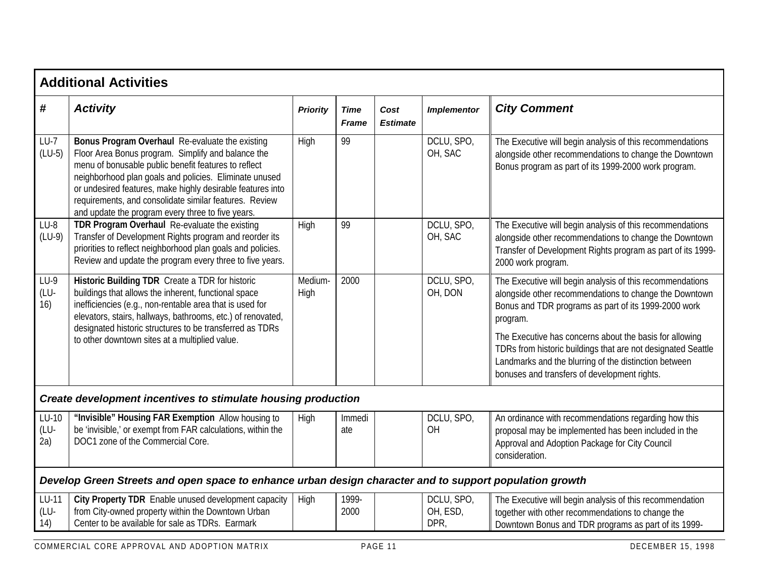|                        | <b>Additional Activities</b>                                                                                                                                                                                                                                                                                                                                                                         |                 |                             |                         |                                |                                                                                                                                                                                                                                                                                                                                                                                                                             |  |  |  |  |  |
|------------------------|------------------------------------------------------------------------------------------------------------------------------------------------------------------------------------------------------------------------------------------------------------------------------------------------------------------------------------------------------------------------------------------------------|-----------------|-----------------------------|-------------------------|--------------------------------|-----------------------------------------------------------------------------------------------------------------------------------------------------------------------------------------------------------------------------------------------------------------------------------------------------------------------------------------------------------------------------------------------------------------------------|--|--|--|--|--|
| #                      | <b>Activity</b>                                                                                                                                                                                                                                                                                                                                                                                      | <b>Priority</b> | <b>Time</b><br><b>Frame</b> | Cost<br><b>Estimate</b> | <b>Implementor</b>             | <b>City Comment</b>                                                                                                                                                                                                                                                                                                                                                                                                         |  |  |  |  |  |
| $LU-7$<br>$(LU-5)$     | Bonus Program Overhaul Re-evaluate the existing<br>Floor Area Bonus program. Simplify and balance the<br>menu of bonusable public benefit features to reflect<br>neighborhood plan goals and policies. Eliminate unused<br>or undesired features, make highly desirable features into<br>requirements, and consolidate similar features. Review<br>and update the program every three to five years. | High            | 99                          |                         | DCLU, SPO,<br>OH, SAC          | The Executive will begin analysis of this recommendations<br>alongside other recommendations to change the Downtown<br>Bonus program as part of its 1999-2000 work program.                                                                                                                                                                                                                                                 |  |  |  |  |  |
| $LU-8$<br>$(LU-9)$     | TDR Program Overhaul Re-evaluate the existing<br>Transfer of Development Rights program and reorder its<br>priorities to reflect neighborhood plan goals and policies.<br>Review and update the program every three to five years.                                                                                                                                                                   | High            | 99                          |                         | DCLU, SPO,<br>OH, SAC          | The Executive will begin analysis of this recommendations<br>alongside other recommendations to change the Downtown<br>Transfer of Development Rights program as part of its 1999-<br>2000 work program.                                                                                                                                                                                                                    |  |  |  |  |  |
| $LU-9$<br>(LU-<br>16)  | Historic Building TDR Create a TDR for historic<br>buildings that allows the inherent, functional space<br>inefficiencies (e.g., non-rentable area that is used for<br>elevators, stairs, hallways, bathrooms, etc.) of renovated,<br>designated historic structures to be transferred as TDRs<br>to other downtown sites at a multiplied value.                                                     | Medium-<br>High | 2000                        |                         | DCLU, SPO,<br>OH, DON          | The Executive will begin analysis of this recommendations<br>alongside other recommendations to change the Downtown<br>Bonus and TDR programs as part of its 1999-2000 work<br>program.<br>The Executive has concerns about the basis for allowing<br>TDRs from historic buildings that are not designated Seattle<br>Landmarks and the blurring of the distinction between<br>bonuses and transfers of development rights. |  |  |  |  |  |
|                        | Create development incentives to stimulate housing production                                                                                                                                                                                                                                                                                                                                        |                 |                             |                         |                                |                                                                                                                                                                                                                                                                                                                                                                                                                             |  |  |  |  |  |
| $LU-10$<br>(LU-<br>2a) | "Invisible" Housing FAR Exemption Allow housing to<br>be 'invisible,' or exempt from FAR calculations, within the<br>DOC1 zone of the Commercial Core.                                                                                                                                                                                                                                               | High            | Immedi<br>ate               |                         | DCLU, SPO,<br>OH               | An ordinance with recommendations regarding how this<br>proposal may be implemented has been included in the<br>Approval and Adoption Package for City Council<br>consideration.                                                                                                                                                                                                                                            |  |  |  |  |  |
|                        | Develop Green Streets and open space to enhance urban design character and to support population growth                                                                                                                                                                                                                                                                                              |                 |                             |                         |                                |                                                                                                                                                                                                                                                                                                                                                                                                                             |  |  |  |  |  |
| LU-11<br>(LU-<br>14)   | City Property TDR Enable unused development capacity<br>from City-owned property within the Downtown Urban<br>Center to be available for sale as TDRs. Earmark                                                                                                                                                                                                                                       | High            | 1999-<br>2000               |                         | DCLU, SPO,<br>OH, ESD,<br>DPR, | The Executive will begin analysis of this recommendation<br>together with other recommendations to change the<br>Downtown Bonus and TDR programs as part of its 1999-                                                                                                                                                                                                                                                       |  |  |  |  |  |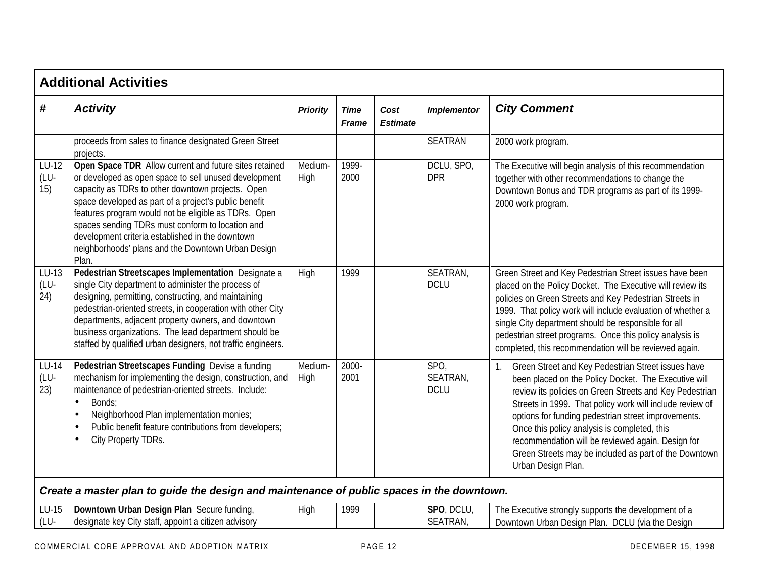|                      | <b>Additional Activities</b>                                                                                                                                                                                                                                                                                                                                                                                                                                 |                 |                             |                         |                                 |                                                                                                                                                                                                                                                                                                                                                                                                                                                                                    |  |  |  |  |  |
|----------------------|--------------------------------------------------------------------------------------------------------------------------------------------------------------------------------------------------------------------------------------------------------------------------------------------------------------------------------------------------------------------------------------------------------------------------------------------------------------|-----------------|-----------------------------|-------------------------|---------------------------------|------------------------------------------------------------------------------------------------------------------------------------------------------------------------------------------------------------------------------------------------------------------------------------------------------------------------------------------------------------------------------------------------------------------------------------------------------------------------------------|--|--|--|--|--|
| #                    | <b>Activity</b>                                                                                                                                                                                                                                                                                                                                                                                                                                              | <b>Priority</b> | <b>Time</b><br><b>Frame</b> | Cost<br><b>Estimate</b> | <b>Implementor</b>              | <b>City Comment</b>                                                                                                                                                                                                                                                                                                                                                                                                                                                                |  |  |  |  |  |
|                      | proceeds from sales to finance designated Green Street<br>projects.                                                                                                                                                                                                                                                                                                                                                                                          |                 |                             |                         | <b>SEATRAN</b>                  | 2000 work program.                                                                                                                                                                                                                                                                                                                                                                                                                                                                 |  |  |  |  |  |
| LU-12<br>(LU-<br>15) | Open Space TDR Allow current and future sites retained<br>or developed as open space to sell unused development<br>capacity as TDRs to other downtown projects. Open<br>space developed as part of a project's public benefit<br>features program would not be eligible as TDRs. Open<br>spaces sending TDRs must conform to location and<br>development criteria established in the downtown<br>neighborhoods' plans and the Downtown Urban Design<br>Plan. | Medium-<br>High | 1999-<br>2000               |                         | DCLU, SPO,<br><b>DPR</b>        | The Executive will begin analysis of this recommendation<br>together with other recommendations to change the<br>Downtown Bonus and TDR programs as part of its 1999-<br>2000 work program.                                                                                                                                                                                                                                                                                        |  |  |  |  |  |
| LU-13<br>(LU-<br>24) | Pedestrian Streetscapes Implementation Designate a<br>single City department to administer the process of<br>designing, permitting, constructing, and maintaining<br>pedestrian-oriented streets, in cooperation with other City<br>departments, adjacent property owners, and downtown<br>business organizations. The lead department should be<br>staffed by qualified urban designers, not traffic engineers.                                             | High            | 1999                        |                         | SEATRAN,<br><b>DCLU</b>         | Green Street and Key Pedestrian Street issues have been<br>placed on the Policy Docket. The Executive will review its<br>policies on Green Streets and Key Pedestrian Streets in<br>1999. That policy work will include evaluation of whether a<br>single City department should be responsible for all<br>pedestrian street programs. Once this policy analysis is<br>completed, this recommendation will be reviewed again.                                                      |  |  |  |  |  |
| LU-14<br>(LU-<br>23) | Pedestrian Streetscapes Funding Devise a funding<br>mechanism for implementing the design, construction, and<br>maintenance of pedestrian-oriented streets. Include:<br>Bonds:<br>$\bullet$<br>Neighborhood Plan implementation monies;<br>$\bullet$<br>Public benefit feature contributions from developers;<br>$\bullet$<br>City Property TDRs.<br>$\bullet$                                                                                               | Medium-<br>High | 2000-<br>2001               |                         | SPO,<br>SEATRAN,<br><b>DCLU</b> | Green Street and Key Pedestrian Street issues have<br>1.<br>been placed on the Policy Docket. The Executive will<br>review its policies on Green Streets and Key Pedestrian<br>Streets in 1999. That policy work will include review of<br>options for funding pedestrian street improvements.<br>Once this policy analysis is completed, this<br>recommendation will be reviewed again. Design for<br>Green Streets may be included as part of the Downtown<br>Urban Design Plan. |  |  |  |  |  |
|                      | Create a master plan to guide the design and maintenance of public spaces in the downtown.                                                                                                                                                                                                                                                                                                                                                                   |                 |                             |                         |                                 |                                                                                                                                                                                                                                                                                                                                                                                                                                                                                    |  |  |  |  |  |
| LU-15<br>(LU-        | Downtown Urban Design Plan Secure funding,<br>designate key City staff, appoint a citizen advisory                                                                                                                                                                                                                                                                                                                                                           | High            | 1999                        |                         | SPO, DCLU,<br>SEATRAN,          | The Executive strongly supports the development of a<br>Downtown Urban Design Plan. DCLU (via the Design                                                                                                                                                                                                                                                                                                                                                                           |  |  |  |  |  |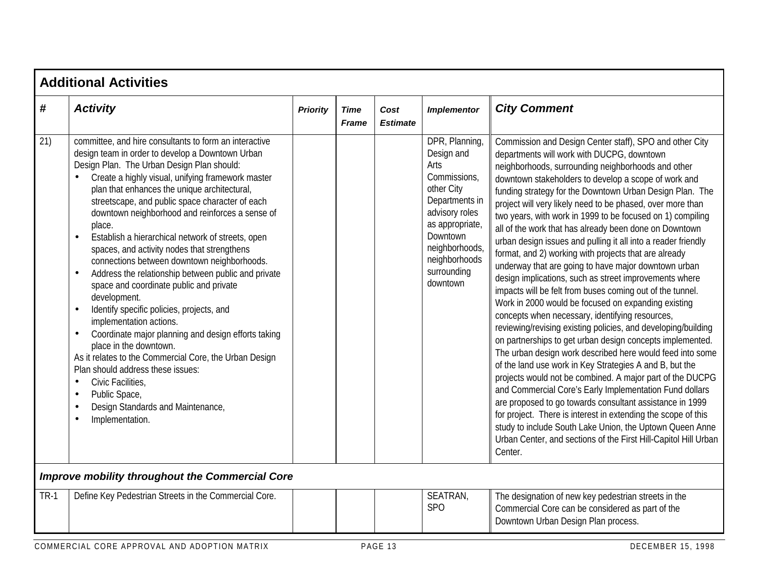|                   | <b>Additional Activities</b>                                                                                                                                                                                                                                                                                                                                                                                                                                                                                                                                                                                                                                                                                                                                                                                                                                                                                                                                                                                                                                                                             |                 |                      |                         |                                                                                                                                                                                                    |                                                                                                                                                                                                                                                                                                                                                                                                                                                                                                                                                                                                                                                                                                                                                                                                                                                                                                                                                                                                                                                                                                                                                                                                                                                                                                                                                                                                                                                                                                                                               |  |  |  |  |  |
|-------------------|----------------------------------------------------------------------------------------------------------------------------------------------------------------------------------------------------------------------------------------------------------------------------------------------------------------------------------------------------------------------------------------------------------------------------------------------------------------------------------------------------------------------------------------------------------------------------------------------------------------------------------------------------------------------------------------------------------------------------------------------------------------------------------------------------------------------------------------------------------------------------------------------------------------------------------------------------------------------------------------------------------------------------------------------------------------------------------------------------------|-----------------|----------------------|-------------------------|----------------------------------------------------------------------------------------------------------------------------------------------------------------------------------------------------|-----------------------------------------------------------------------------------------------------------------------------------------------------------------------------------------------------------------------------------------------------------------------------------------------------------------------------------------------------------------------------------------------------------------------------------------------------------------------------------------------------------------------------------------------------------------------------------------------------------------------------------------------------------------------------------------------------------------------------------------------------------------------------------------------------------------------------------------------------------------------------------------------------------------------------------------------------------------------------------------------------------------------------------------------------------------------------------------------------------------------------------------------------------------------------------------------------------------------------------------------------------------------------------------------------------------------------------------------------------------------------------------------------------------------------------------------------------------------------------------------------------------------------------------------|--|--|--|--|--|
| $\boldsymbol{\#}$ | <b>Activity</b>                                                                                                                                                                                                                                                                                                                                                                                                                                                                                                                                                                                                                                                                                                                                                                                                                                                                                                                                                                                                                                                                                          | <b>Priority</b> | Time<br><b>Frame</b> | Cost<br><b>Estimate</b> | <b>Implementor</b>                                                                                                                                                                                 | <b>City Comment</b>                                                                                                                                                                                                                                                                                                                                                                                                                                                                                                                                                                                                                                                                                                                                                                                                                                                                                                                                                                                                                                                                                                                                                                                                                                                                                                                                                                                                                                                                                                                           |  |  |  |  |  |
| 21)               | committee, and hire consultants to form an interactive<br>design team in order to develop a Downtown Urban<br>Design Plan. The Urban Design Plan should:<br>Create a highly visual, unifying framework master<br>plan that enhances the unique architectural,<br>streetscape, and public space character of each<br>downtown neighborhood and reinforces a sense of<br>place.<br>Establish a hierarchical network of streets, open<br>$\bullet$<br>spaces, and activity nodes that strengthens<br>connections between downtown neighborhoods.<br>Address the relationship between public and private<br>$\bullet$<br>space and coordinate public and private<br>development.<br>Identify specific policies, projects, and<br>$\bullet$<br>implementation actions.<br>Coordinate major planning and design efforts taking<br>$\bullet$<br>place in the downtown.<br>As it relates to the Commercial Core, the Urban Design<br>Plan should address these issues:<br>Civic Facilities,<br>$\bullet$<br>Public Space,<br>$\bullet$<br>Design Standards and Maintenance,<br>$\bullet$<br>Implementation.<br>٠ |                 |                      |                         | DPR, Planning,<br>Design and<br>Arts<br>Commissions,<br>other City<br>Departments in<br>advisory roles<br>as appropriate,<br>Downtown<br>neighborhoods<br>neighborhoods<br>surrounding<br>downtown | Commission and Design Center staff), SPO and other City<br>departments will work with DUCPG, downtown<br>neighborhoods, surrounding neighborhoods and other<br>downtown stakeholders to develop a scope of work and<br>funding strategy for the Downtown Urban Design Plan. The<br>project will very likely need to be phased, over more than<br>two years, with work in 1999 to be focused on 1) compiling<br>all of the work that has already been done on Downtown<br>urban design issues and pulling it all into a reader friendly<br>format, and 2) working with projects that are already<br>underway that are going to have major downtown urban<br>design implications, such as street improvements where<br>impacts will be felt from buses coming out of the tunnel.<br>Work in 2000 would be focused on expanding existing<br>concepts when necessary, identifying resources,<br>reviewing/revising existing policies, and developing/building<br>on partnerships to get urban design concepts implemented.<br>The urban design work described here would feed into some<br>of the land use work in Key Strategies A and B, but the<br>projects would not be combined. A major part of the DUCPG<br>and Commercial Core's Early Implementation Fund dollars<br>are proposed to go towards consultant assistance in 1999<br>for project. There is interest in extending the scope of this<br>study to include South Lake Union, the Uptown Queen Anne<br>Urban Center, and sections of the First Hill-Capitol Hill Urban<br>Center. |  |  |  |  |  |
|                   | <b>Improve mobility throughout the Commercial Core</b>                                                                                                                                                                                                                                                                                                                                                                                                                                                                                                                                                                                                                                                                                                                                                                                                                                                                                                                                                                                                                                                   |                 |                      |                         |                                                                                                                                                                                                    |                                                                                                                                                                                                                                                                                                                                                                                                                                                                                                                                                                                                                                                                                                                                                                                                                                                                                                                                                                                                                                                                                                                                                                                                                                                                                                                                                                                                                                                                                                                                               |  |  |  |  |  |
| <b>TR-1</b>       | Define Key Pedestrian Streets in the Commercial Core.                                                                                                                                                                                                                                                                                                                                                                                                                                                                                                                                                                                                                                                                                                                                                                                                                                                                                                                                                                                                                                                    |                 |                      |                         | SEATRAN,<br><b>SPO</b>                                                                                                                                                                             | The designation of new key pedestrian streets in the<br>Commercial Core can be considered as part of the<br>Downtown Urban Design Plan process.                                                                                                                                                                                                                                                                                                                                                                                                                                                                                                                                                                                                                                                                                                                                                                                                                                                                                                                                                                                                                                                                                                                                                                                                                                                                                                                                                                                               |  |  |  |  |  |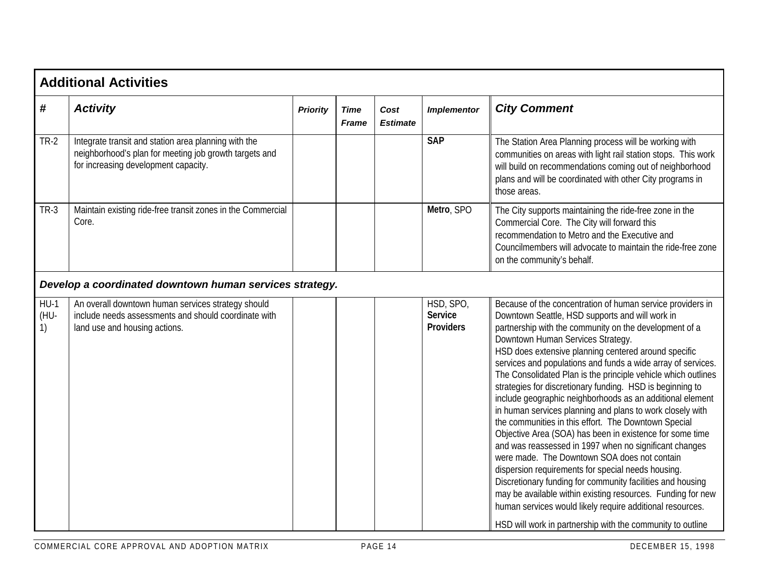|                      | <b>Additional Activities</b>                                                                                                                           |                 |                      |                         |                                                 |                                                                                                                                                                                                                                                                                                                                                                                                                                                                                                                                                                                                                                                                                                                                                                                                                                                                                                                                                                                                                                                                                                                                          |  |  |  |  |
|----------------------|--------------------------------------------------------------------------------------------------------------------------------------------------------|-----------------|----------------------|-------------------------|-------------------------------------------------|------------------------------------------------------------------------------------------------------------------------------------------------------------------------------------------------------------------------------------------------------------------------------------------------------------------------------------------------------------------------------------------------------------------------------------------------------------------------------------------------------------------------------------------------------------------------------------------------------------------------------------------------------------------------------------------------------------------------------------------------------------------------------------------------------------------------------------------------------------------------------------------------------------------------------------------------------------------------------------------------------------------------------------------------------------------------------------------------------------------------------------------|--|--|--|--|
| #                    | <b>Activity</b>                                                                                                                                        | <b>Priority</b> | Time<br><b>Frame</b> | Cost<br><b>Estimate</b> | <b>Implementor</b>                              | <b>City Comment</b>                                                                                                                                                                                                                                                                                                                                                                                                                                                                                                                                                                                                                                                                                                                                                                                                                                                                                                                                                                                                                                                                                                                      |  |  |  |  |
| <b>TR-2</b>          | Integrate transit and station area planning with the<br>neighborhood's plan for meeting job growth targets and<br>for increasing development capacity. |                 |                      |                         | <b>SAP</b>                                      | The Station Area Planning process will be working with<br>communities on areas with light rail station stops. This work<br>will build on recommendations coming out of neighborhood<br>plans and will be coordinated with other City programs in<br>those areas.                                                                                                                                                                                                                                                                                                                                                                                                                                                                                                                                                                                                                                                                                                                                                                                                                                                                         |  |  |  |  |
| $TR-3$               | Maintain existing ride-free transit zones in the Commercial<br>Core.                                                                                   |                 |                      |                         | Metro, SPO                                      | The City supports maintaining the ride-free zone in the<br>Commercial Core. The City will forward this<br>recommendation to Metro and the Executive and<br>Councilmembers will advocate to maintain the ride-free zone<br>on the community's behalf.                                                                                                                                                                                                                                                                                                                                                                                                                                                                                                                                                                                                                                                                                                                                                                                                                                                                                     |  |  |  |  |
|                      | Develop a coordinated downtown human services strategy.                                                                                                |                 |                      |                         |                                                 |                                                                                                                                                                                                                                                                                                                                                                                                                                                                                                                                                                                                                                                                                                                                                                                                                                                                                                                                                                                                                                                                                                                                          |  |  |  |  |
| $HU-1$<br>(HU-<br>1) | An overall downtown human services strategy should<br>include needs assessments and should coordinate with<br>land use and housing actions.            |                 |                      |                         | HSD, SPO,<br><b>Service</b><br><b>Providers</b> | Because of the concentration of human service providers in<br>Downtown Seattle, HSD supports and will work in<br>partnership with the community on the development of a<br>Downtown Human Services Strategy.<br>HSD does extensive planning centered around specific<br>services and populations and funds a wide array of services.<br>The Consolidated Plan is the principle vehicle which outlines<br>strategies for discretionary funding. HSD is beginning to<br>include geographic neighborhoods as an additional element<br>in human services planning and plans to work closely with<br>the communities in this effort. The Downtown Special<br>Objective Area (SOA) has been in existence for some time<br>and was reassessed in 1997 when no significant changes<br>were made. The Downtown SOA does not contain<br>dispersion requirements for special needs housing.<br>Discretionary funding for community facilities and housing<br>may be available within existing resources. Funding for new<br>human services would likely require additional resources.<br>HSD will work in partnership with the community to outline |  |  |  |  |